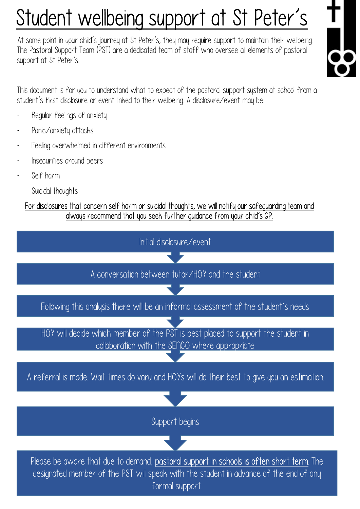## Student wellbeing support at St Peter's

At some point in your child's journey at St Peter's, they may require support to maintain their wellbeing. The Pastoral Support Team (PST) are a dedicated team of staff who oversee all elements of pastoral support at St Peter's. At some point in your child's journey at<br>The Pastoral Support Team (PST) are a<br>support at St Peter's.<br>This document is for you to understand<br>student's first disclosure or event linked<br>- Regular feelings of anxiety<br>- Panic/



This document is for you to understand what to expect of the pastoral support system at school from a student's first disclosure or event linked to their wellbeing. A disclosure/event may be: support at St Peter's.<br>This document is for you to understand<br>student's first disclosure or event linke<br>- Regular feelings of anxiety<br>- Panic/anxiety attacks<br>- Feeling overwhelmed in different This document is for you to understand what to expect of t<br>student's first disclosure or event linked to their wellbeing. A<br>Regular feelings of anxiety<br>Panic/anxiety attacks<br>Feeling overwhelmed in different environments<br>In This document is for you to understand \<br>student's first disclosure or event linked<br>- Regular feelings of anxiety<br>- Panic/anxiety attacks<br>- Feeling overwhelmed in different er<br>- Insecurities around peers<br>- Self harm

- 
- 
- Stadient's first alsolosure or event lifting<br>- Regular feelings of anxiety<br>- Panic/anxiety attacks<br>- Feeling overwhelmed in different<br>- Insecurities around peers<br>- Self harm<br>- Suicidal thoughts
- 
- 
- 

# Megalar Teelings of anxiety<br>- Panic/anxiety attacks<br>- Feeling overwhelmed in different<br>- Insecurities around peers<br>- Self harm<br>- Suicidal thoughts<br>- For disclosures that concern self ha For disclosures that concern self harm or suicidal thoughts, we will notify our safeguarding team and always recommend that you seek further guidance from your child's GP.